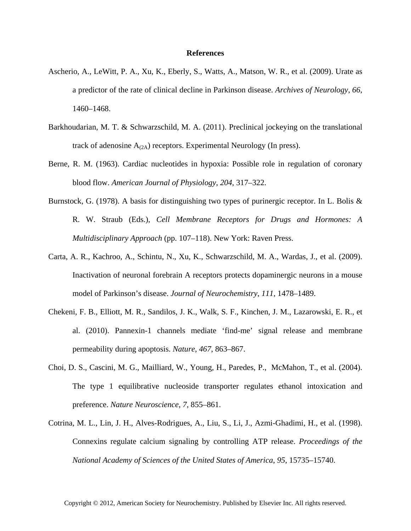## **References**

- Ascherio, A., LeWitt, P. A., Xu, K., Eberly, S., Watts, A., Matson, W. R., et al. (2009). Urate as a predictor of the rate of clinical decline in Parkinson disease. *Archives of Neurology*, *66*, 1460–1468.
- Barkhoudarian, M. T. & Schwarzschild, M. A. (2011). Preclinical jockeying on the translational track of adenosine  $A_{(2A)}$  receptors. Experimental Neurology (In press).
- Berne, R. M. (1963). Cardiac nucleotides in hypoxia: Possible role in regulation of coronary blood flow. *American Journal of Physiology*, *204*, 317–322.
- Burnstock, G. (1978). A basis for distinguishing two types of purinergic receptor. In L. Bolis & R. W. Straub (Eds.), *Cell Membrane Receptors for Drugs and Hormones: A Multidisciplinary Approach* (pp. 107–118). New York: Raven Press.
- Carta, A. R., Kachroo, A., Schintu, N., Xu, K., Schwarzschild, M. A., Wardas, J., et al. (2009). Inactivation of neuronal forebrain A receptors protects dopaminergic neurons in a mouse model of Parkinson's disease. *Journal of Neurochemistry*, *111*, 1478–1489.
- Chekeni, F. B., Elliott, M. R., Sandilos, J. K., Walk, S. F., Kinchen, J. M., Lazarowski, E. R., et al. (2010). Pannexin-1 channels mediate 'find-me' signal release and membrane permeability during apoptosis. *Nature*, *467*, 863–867.
- Choi, D. S., Cascini, M. G., Mailliard, W., Young, H., Paredes, P., McMahon, T., et al. (2004). The type 1 equilibrative nucleoside transporter regulates ethanol intoxication and preference. *Nature Neuroscience*, *7*, 855–861.
- Cotrina, M. L., Lin, J. H., Alves-Rodrigues, A., Liu, S., Li, J., Azmi-Ghadimi, H., et al. (1998). Connexins regulate calcium signaling by controlling ATP release. *Proceedings of the National Academy of Sciences of the United States of America*, *95*, 15735–15740.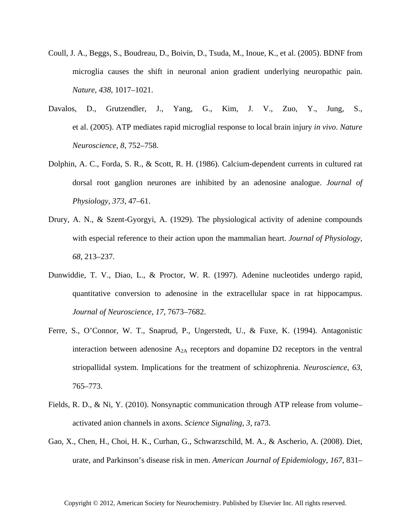- Coull, J. A., Beggs, S., Boudreau, D., Boivin, D., Tsuda, M., Inoue, K., et al. (2005). BDNF from microglia causes the shift in neuronal anion gradient underlying neuropathic pain. *Nature*, *438*, 1017–1021.
- Davalos, D., Grutzendler, J., Yang, G., Kim, J. V., Zuo, Y., Jung, S., et al. (2005). ATP mediates rapid microglial response to local brain injury *in vivo*. *Nature Neuroscience*, *8*, 752–758.
- Dolphin, A. C., Forda, S. R., & Scott, R. H. (1986). Calcium-dependent currents in cultured rat dorsal root ganglion neurones are inhibited by an adenosine analogue. *Journal of Physiology*, *373*, 47–61.
- Drury, A. N., & Szent-Gyorgyi, A. (1929). The physiological activity of adenine compounds with especial reference to their action upon the mammalian heart. *Journal of Physiology*, *68*, 213–237.
- Dunwiddie, T. V., Diao, L., & Proctor, W. R. (1997). Adenine nucleotides undergo rapid, quantitative conversion to adenosine in the extracellular space in rat hippocampus. *Journal of Neuroscience*, *17*, 7673–7682.
- Ferre, S., O'Connor, W. T., Snaprud, P., Ungerstedt, U., & Fuxe, K. (1994). Antagonistic interaction between adenosine  $A_{2A}$  receptors and dopamine D2 receptors in the ventral striopallidal system. Implications for the treatment of schizophrenia. *Neuroscience*, *63*, 765–773.
- Fields, R. D., & Ni, Y. (2010). Nonsynaptic communication through ATP release from volume– activated anion channels in axons. *Science Signaling*, *3*, ra73.
- Gao, X., Chen, H., Choi, H. K., Curhan, G., Schwarzschild, M. A., & Ascherio, A. (2008). Diet, urate, and Parkinson's disease risk in men. *American Journal of Epidemiology*, *167*, 831–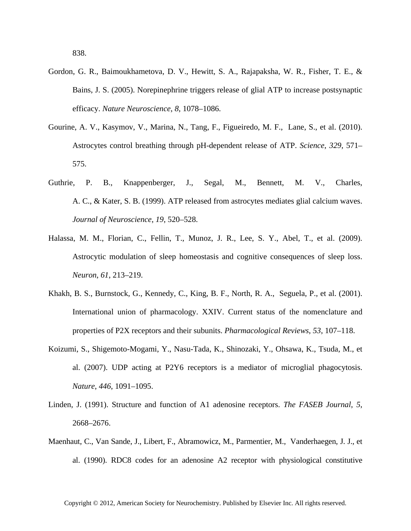- Gordon, G. R., Baimoukhametova, D. V., Hewitt, S. A., Rajapaksha, W. R., Fisher, T. E., & Bains, J. S. (2005). Norepinephrine triggers release of glial ATP to increase postsynaptic efficacy. *Nature Neuroscience*, *8*, 1078–1086.
- Gourine, A. V., Kasymov, V., Marina, N., Tang, F., Figueiredo, M. F., Lane, S., et al. (2010). Astrocytes control breathing through pH-dependent release of ATP. *Science*, *329*, 571– 575.
- Guthrie, P. B., Knappenberger, J., Segal, M., Bennett, M. V., Charles, A. C., & Kater, S. B. (1999). ATP released from astrocytes mediates glial calcium waves. *Journal of Neuroscience*, *19*, 520–528.
- Halassa, M. M., Florian, C., Fellin, T., Munoz, J. R., Lee, S. Y., Abel, T., et al. (2009). Astrocytic modulation of sleep homeostasis and cognitive consequences of sleep loss. *Neuron*, *61*, 213–219.
- Khakh, B. S., Burnstock, G., Kennedy, C., King, B. F., North, R. A., Seguela, P., et al. (2001). International union of pharmacology. XXIV. Current status of the nomenclature and properties of P2X receptors and their subunits. *Pharmacological Reviews*, *53*, 107–118.
- Koizumi, S., Shigemoto-Mogami, Y., Nasu-Tada, K., Shinozaki, Y., Ohsawa, K., Tsuda, M., et al. (2007). UDP acting at P2Y6 receptors is a mediator of microglial phagocytosis. *Nature*, *446*, 1091–1095.
- Linden, J. (1991). Structure and function of A1 adenosine receptors. *The FASEB Journal*, *5*, 2668–2676.
- Maenhaut, C., Van Sande, J., Libert, F., Abramowicz, M., Parmentier, M., Vanderhaegen, J. J., et al. (1990). RDC8 codes for an adenosine A2 receptor with physiological constitutive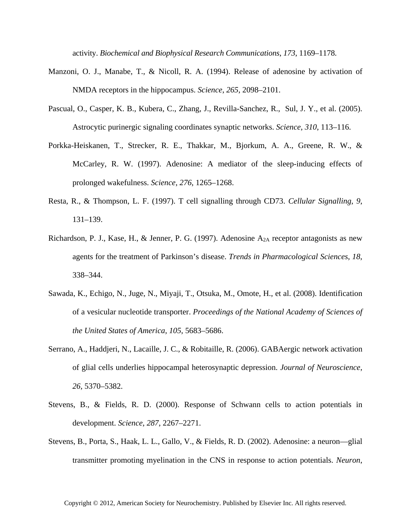activity. *Biochemical and Biophysical Research Communications*, *173*, 1169–1178.

- Manzoni, O. J., Manabe, T., & Nicoll, R. A. (1994). Release of adenosine by activation of NMDA receptors in the hippocampus. *Science*, *265*, 2098–2101.
- Pascual, O., Casper, K. B., Kubera, C., Zhang, J., Revilla-Sanchez, R., Sul, J. Y., et al. (2005). Astrocytic purinergic signaling coordinates synaptic networks. *Science*, *310*, 113–116.
- Porkka-Heiskanen, T., Strecker, R. E., Thakkar, M., Bjorkum, A. A., Greene, R. W., & McCarley, R. W. (1997). Adenosine: A mediator of the sleep-inducing effects of prolonged wakefulness. *Science*, *276*, 1265–1268.
- Resta, R., & Thompson, L. F. (1997). T cell signalling through CD73. *Cellular Signalling*, *9*, 131–139.
- Richardson, P. J., Kase, H., & Jenner, P. G. (1997). Adenosine  $A_{2A}$  receptor antagonists as new agents for the treatment of Parkinson's disease. *Trends in Pharmacological Sciences*, *18*, 338–344.
- Sawada, K., Echigo, N., Juge, N., Miyaji, T., Otsuka, M., Omote, H., et al. (2008). Identification of a vesicular nucleotide transporter. *Proceedings of the National Academy of Sciences of the United States of America*, *105*, 5683–5686.
- Serrano, A., Haddjeri, N., Lacaille, J. C., & Robitaille, R. (2006). GABAergic network activation of glial cells underlies hippocampal heterosynaptic depression. *Journal of Neuroscience*, *26*, 5370–5382.
- Stevens, B., & Fields, R. D. (2000). Response of Schwann cells to action potentials in development. *Science*, *287*, 2267–2271.
- Stevens, B., Porta, S., Haak, L. L., Gallo, V., & Fields, R. D. (2002). Adenosine: a neuron—glial transmitter promoting myelination in the CNS in response to action potentials. *Neuron*,